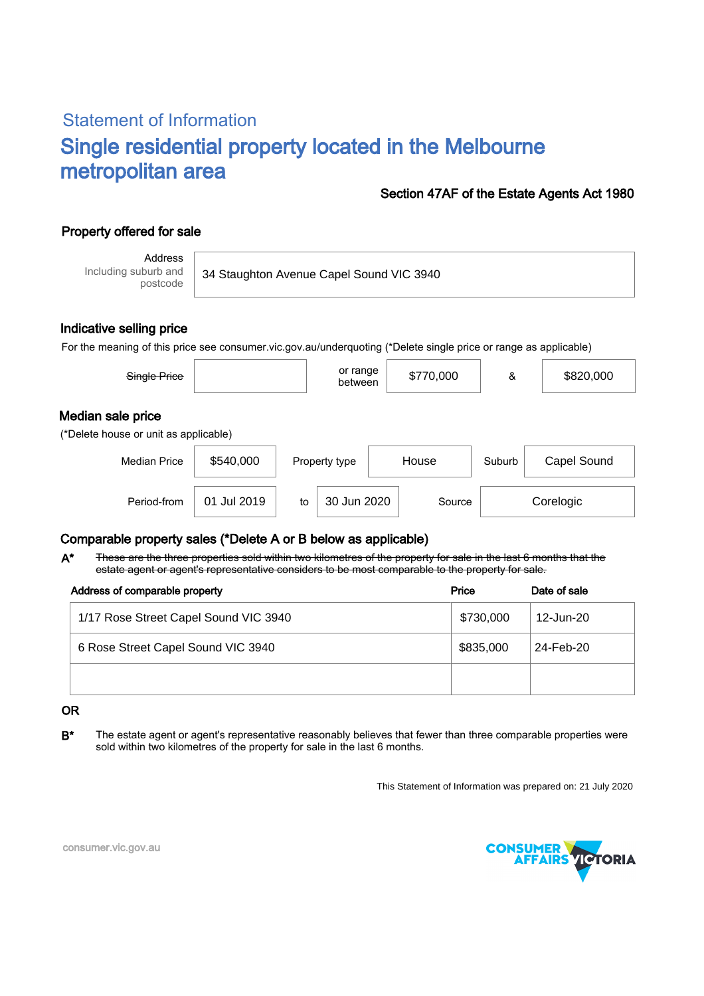# Statement of Information Single residential property located in the Melbourne metropolitan area

### Section 47AF of the Estate Agents Act 1980

## Property offered for sale

Address Including suburb and postcode

34 Staughton Avenue Capel Sound VIC 3940

#### Indicative selling price

For the meaning of this price see consumer.vic.gov.au/underquoting (\*Delete single price or range as applicable)

| Single Price                                               |             |    | or range<br>between    |  | \$770,000 | &           | \$820,000 |  |  |
|------------------------------------------------------------|-------------|----|------------------------|--|-----------|-------------|-----------|--|--|
| Median sale price<br>(*Delete house or unit as applicable) |             |    |                        |  |           |             |           |  |  |
| <b>Median Price</b>                                        | \$540,000   |    | House<br>Property type |  | Suburb    | Capel Sound |           |  |  |
| Period-from                                                | 01 Jul 2019 | to | 30 Jun 2020            |  | Source    |             | Corelogic |  |  |

### Comparable property sales (\*Delete A or B below as applicable)

These are the three properties sold within two kilometres of the property for sale in the last 6 months that the estate agent or agent's representative considers to be most comparable to the property for sale. A\*

| Address of comparable property        | Price     | Date of sale |
|---------------------------------------|-----------|--------------|
| 1/17 Rose Street Capel Sound VIC 3940 | \$730,000 | 12-Jun-20    |
| 6 Rose Street Capel Sound VIC 3940    | \$835,000 | 24-Feb-20    |
|                                       |           |              |

#### OR

B<sup>\*</sup> The estate agent or agent's representative reasonably believes that fewer than three comparable properties were sold within two kilometres of the property for sale in the last 6 months.

This Statement of Information was prepared on: 21 July 2020



consumer.vic.gov.au